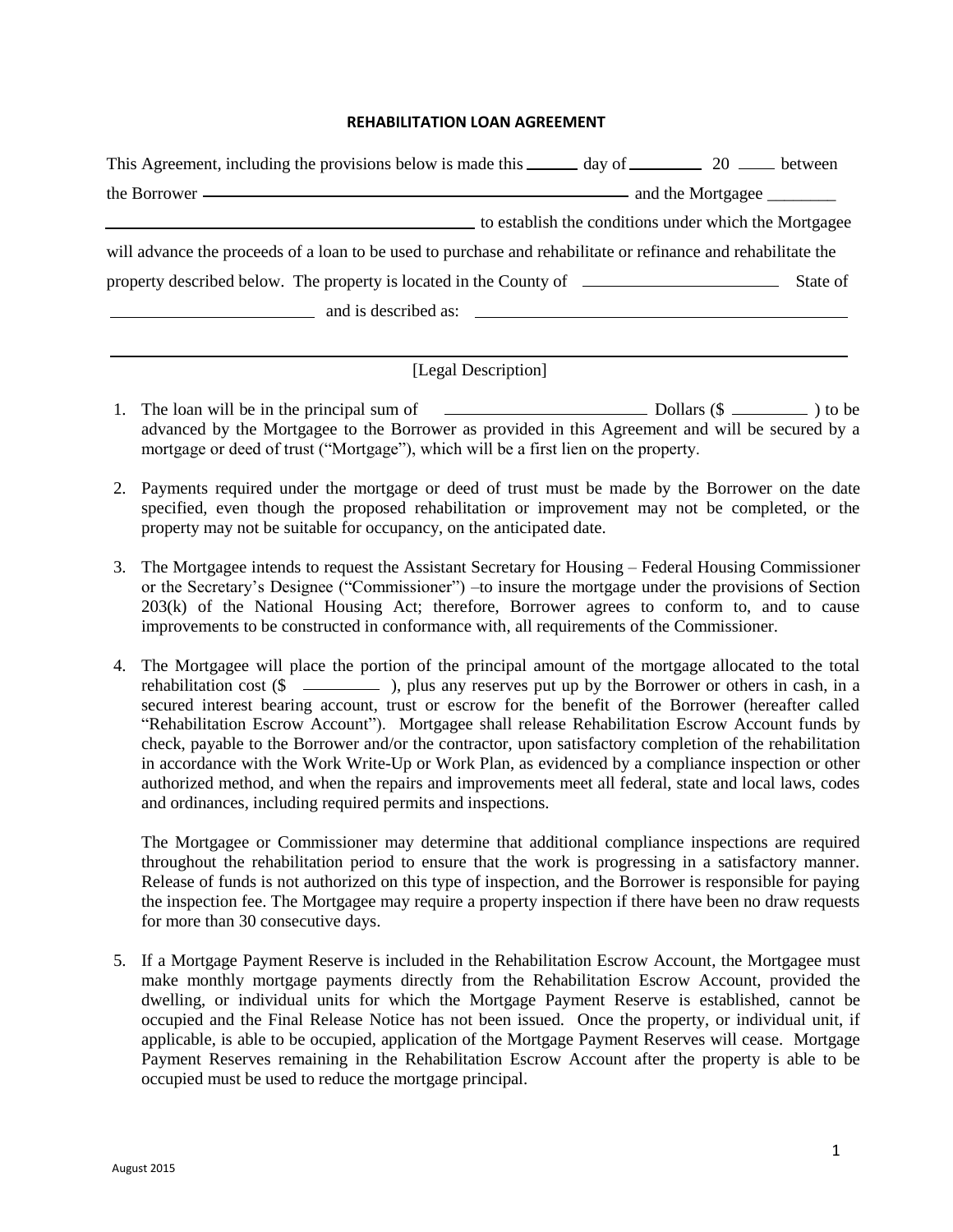## **REHABILITATION LOAN AGREEMENT**

| This Agreement, including the provisions below is made this _______ day of __________ 20 ______ between       |  |  |  |  |
|---------------------------------------------------------------------------------------------------------------|--|--|--|--|
|                                                                                                               |  |  |  |  |
| to establish the conditions under which the Mortgagee                                                         |  |  |  |  |
| will advance the proceeds of a loan to be used to purchase and rehabilitate or refinance and rehabilitate the |  |  |  |  |
|                                                                                                               |  |  |  |  |
| $\frac{1}{2}$ and is described as: $\frac{1}{2}$ and is described as:                                         |  |  |  |  |
|                                                                                                               |  |  |  |  |

## [Legal Description]

- 1. The loan will be in the principal sum of **ICCL COLLARGE COLLARGE COLLARGE COLLARGE COLLARGE COLLARGE COLLARGE COLLARGE COLLARGE COLLARGE COLLARGE COLLARGE COLLARGE COLLARGE COLLARGE COLLARGE COLLARGE COLLARGE COLLARGE C** advanced by the Mortgagee to the Borrower as provided in this Agreement and will be secured by a mortgage or deed of trust ("Mortgage"), which will be a first lien on the property.
- 2. Payments required under the mortgage or deed of trust must be made by the Borrower on the date specified, even though the proposed rehabilitation or improvement may not be completed, or the property may not be suitable for occupancy, on the anticipated date.
- 3. The Mortgagee intends to request the Assistant Secretary for Housing Federal Housing Commissioner or the Secretary's Designee ("Commissioner") –to insure the mortgage under the provisions of Section 203(k) of the National Housing Act; therefore, Borrower agrees to conform to, and to cause improvements to be constructed in conformance with, all requirements of the Commissioner.
- 4. The Mortgagee will place the portion of the principal amount of the mortgage allocated to the total rehabilitation cost  $(\$\_$ ), plus any reserves put up by the Borrower or others in cash, in a secured interest bearing account, trust or escrow for the benefit of the Borrower (hereafter called "Rehabilitation Escrow Account"). Mortgagee shall release Rehabilitation Escrow Account funds by check, payable to the Borrower and/or the contractor, upon satisfactory completion of the rehabilitation in accordance with the Work Write-Up or Work Plan, as evidenced by a compliance inspection or other authorized method, and when the repairs and improvements meet all federal, state and local laws, codes and ordinances, including required permits and inspections.

The Mortgagee or Commissioner may determine that additional compliance inspections are required throughout the rehabilitation period to ensure that the work is progressing in a satisfactory manner. Release of funds is not authorized on this type of inspection, and the Borrower is responsible for paying the inspection fee. The Mortgagee may require a property inspection if there have been no draw requests for more than 30 consecutive days.

5. If a Mortgage Payment Reserve is included in the Rehabilitation Escrow Account, the Mortgagee must make monthly mortgage payments directly from the Rehabilitation Escrow Account, provided the dwelling, or individual units for which the Mortgage Payment Reserve is established, cannot be occupied and the Final Release Notice has not been issued. Once the property, or individual unit, if applicable, is able to be occupied, application of the Mortgage Payment Reserves will cease. Mortgage Payment Reserves remaining in the Rehabilitation Escrow Account after the property is able to be occupied must be used to reduce the mortgage principal.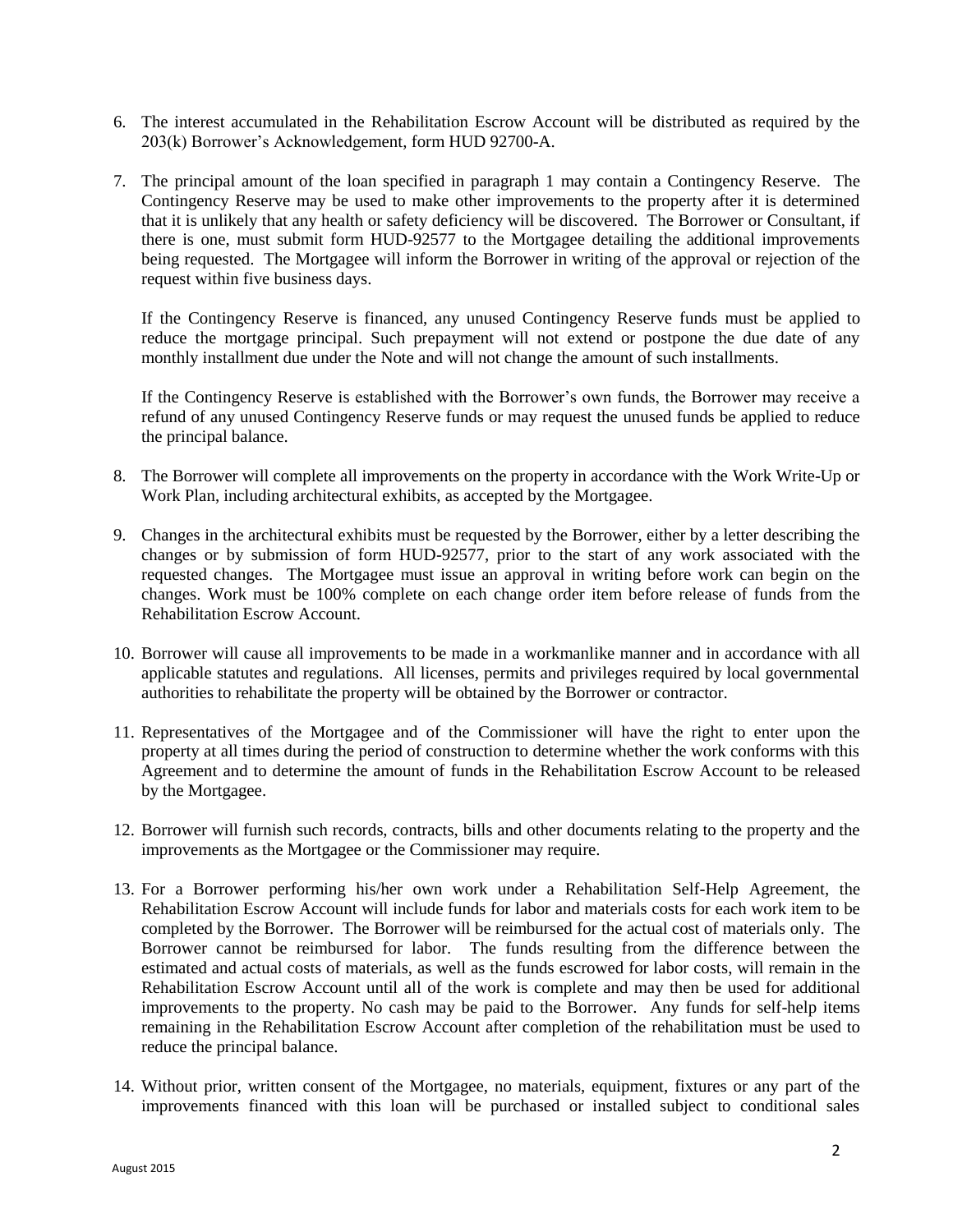- 6. The interest accumulated in the Rehabilitation Escrow Account will be distributed as required by the 203(k) Borrower's Acknowledgement, form HUD 92700-A.
- 7. The principal amount of the loan specified in paragraph 1 may contain a Contingency Reserve. The Contingency Reserve may be used to make other improvements to the property after it is determined that it is unlikely that any health or safety deficiency will be discovered. The Borrower or Consultant, if there is one, must submit form HUD-92577 to the Mortgagee detailing the additional improvements being requested. The Mortgagee will inform the Borrower in writing of the approval or rejection of the request within five business days.

If the Contingency Reserve is financed, any unused Contingency Reserve funds must be applied to reduce the mortgage principal. Such prepayment will not extend or postpone the due date of any monthly installment due under the Note and will not change the amount of such installments.

If the Contingency Reserve is established with the Borrower's own funds, the Borrower may receive a refund of any unused Contingency Reserve funds or may request the unused funds be applied to reduce the principal balance.

- 8. The Borrower will complete all improvements on the property in accordance with the Work Write-Up or Work Plan, including architectural exhibits, as accepted by the Mortgagee.
- 9. Changes in the architectural exhibits must be requested by the Borrower, either by a letter describing the changes or by submission of form HUD-92577, prior to the start of any work associated with the requested changes. The Mortgagee must issue an approval in writing before work can begin on the changes. Work must be 100% complete on each change order item before release of funds from the Rehabilitation Escrow Account.
- 10. Borrower will cause all improvements to be made in a workmanlike manner and in accordance with all applicable statutes and regulations. All licenses, permits and privileges required by local governmental authorities to rehabilitate the property will be obtained by the Borrower or contractor.
- 11. Representatives of the Mortgagee and of the Commissioner will have the right to enter upon the property at all times during the period of construction to determine whether the work conforms with this Agreement and to determine the amount of funds in the Rehabilitation Escrow Account to be released by the Mortgagee.
- 12. Borrower will furnish such records, contracts, bills and other documents relating to the property and the improvements as the Mortgagee or the Commissioner may require.
- 13. For a Borrower performing his/her own work under a Rehabilitation Self-Help Agreement, the Rehabilitation Escrow Account will include funds for labor and materials costs for each work item to be completed by the Borrower. The Borrower will be reimbursed for the actual cost of materials only. The Borrower cannot be reimbursed for labor. The funds resulting from the difference between the estimated and actual costs of materials, as well as the funds escrowed for labor costs, will remain in the Rehabilitation Escrow Account until all of the work is complete and may then be used for additional improvements to the property. No cash may be paid to the Borrower. Any funds for self-help items remaining in the Rehabilitation Escrow Account after completion of the rehabilitation must be used to reduce the principal balance.
- 14. Without prior, written consent of the Mortgagee, no materials, equipment, fixtures or any part of the improvements financed with this loan will be purchased or installed subject to conditional sales